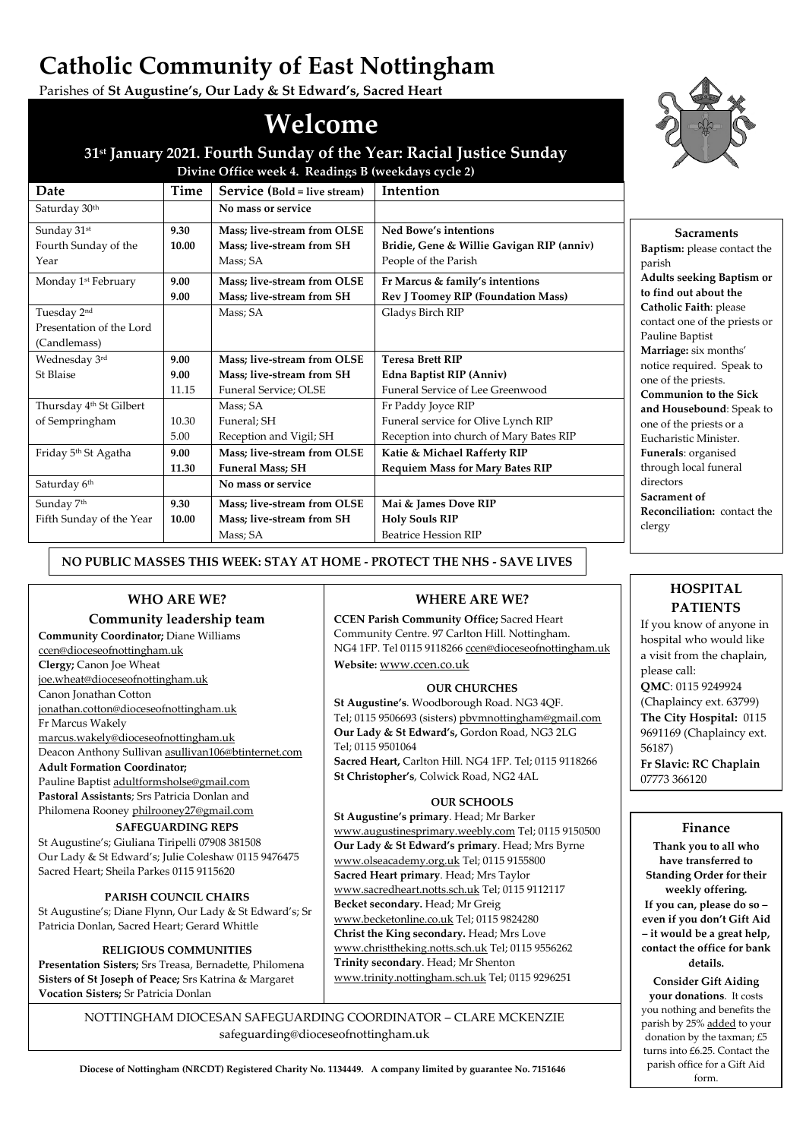# **Catholic Community of East Nottingham**

Parishes of **St Augustine's, Our Lady & St Edward's, Sacred Heart**

Mass; SA

Mass; SA Funeral; SH

Mass; SA

# **Welcome**

# **31st January 2021. Fourth Sunday of the Year: Racial Justice Sunday**



| NO PUBLIC MASSES THIS WEEK: STAY AT HOME - PROTECT THE NHS - SAVE LIVES |
|-------------------------------------------------------------------------|
|                                                                         |

**Mass; live-stream from OLSE Mass; live-stream from SH** Funeral Service; OLSE

Reception and Vigil; SH

**Funeral Mass; SH**

**Mass; live-stream from OLSE**

**Mass; live-stream from OLSE Mass; live-stream from SH**

# **WHO ARE WE?**

Saturday 30<sup>th</sup> **No mass or service** 

**9.30 10.00**

**9.00**

**9.00 9.00** 11.15

5.00

**11.30**

**9.30 10.00**

Saturday 6<sup>th</sup> **No mass or service** 

Sunday 31st

Tuesday 2nd

(Candlemass)

Wednesday 3rd St Blaise

Sunday 7<sup>th</sup>

Year

Fourth Sunday of the

Presentation of the Lord

Thursday 4th St Gilbert

Fifth Sunday of the Year

of Sempringham 10.30

Friday 5th St Agatha **9.00**

Monday 1st February **9.00**

# **Community leadership team**

**Community Coordinator;** Diane Williams [ccen@dioceseofnottingham.uk](mailto:ccen@dioceseofnottingham.uk) **Clergy;** Canon Joe Wheat [joe.wheat@dioceseofnottingham.uk](mailto:joe.wheat@dioceseofnottingham.uk) Canon Jonathan Cotton [jonathan.cotton@dioceseofnottingham.uk](mailto:jonathan.cotton@dioceseofnottingham.uk) Fr Marcus Wakely [marcus.wakely@dioceseofnottingham.uk](mailto:marcus.wakely@dioceseofnottingham.uk) Deacon Anthony Sullivan [asullivan106@btinternet.com](mailto:asullivan106@btinternet.com) **Adult Formation Coordinator;** Pauline Baptist [adultformsholse@gmail.com](mailto:adultformsholse@gmail.com)

**Pastoral Assistants**; Srs Patricia Donlan and Philomena Roone[y philrooney27@gmail.com](mailto:philrooney27@gmail.com)

# **SAFEGUARDING REPS**

St Augustine's; Giuliana Tiripelli 07908 381508 Our Lady & St Edward's; Julie Coleshaw 0115 9476475 Sacred Heart; Sheila Parkes 0115 9115620

# **PARISH COUNCIL CHAIRS**

St Augustine's; Diane Flynn, Our Lady & St Edward's; Sr Patricia Donlan, Sacred Heart; Gerard Whittle

#### **RELIGIOUS COMMUNITIES**

**Presentation Sisters;** Srs Treasa, Bernadette, Philomena **Sisters of St Joseph of Peace;** Srs Katrina & Margaret **Vocation Sisters;** Sr Patricia Donlan

> NOTTINGHAM DIOCESAN SAFEGUARDING COORDINATOR – CLARE MCKENZIE safeguarding@dioceseofnottingham.uk

# **WHERE ARE WE?**

**Teresa Brett RIP**

Fr Paddy Joyce RIP

**Edna Baptist RIP (Anniv)** Funeral Service of Lee Greenwood

Funeral service for Olive Lynch RIP Reception into church of Mary Bates RIP

**Katie & Michael Rafferty RIP Requiem Mass for Mary Bates RIP**

**Mai & James Dove RIP Holy Souls RIP** Beatrice Hession RIP

**CCEN Parish Community Office;** Sacred Heart Community Centre. 97 Carlton Hill. Nottingham. NG4 1FP. Tel 0115 9118266 [ccen@dioceseofnottingham.uk](mailto:ccen@dioceseofnottingham.uk) **Website:** [www.ccen.co.uk](http://www.ccen.co.uk/)

# **OUR CHURCHES**

**St Augustine's**. Woodborough Road. NG3 4QF. Tel; 0115 9506693 (sisters[\) pbvmnottingham@gmail.com](mailto:pbvmnottingham@gmail.com) **Our Lady & St Edward's,** Gordon Road, NG3 2LG Tel; 0115 9501064

**Sacred Heart,** Carlton Hill. NG4 1FP. Tel; 0115 9118266 **St Christopher's**, Colwick Road, NG2 4AL

# **OUR SCHOOLS**

**St Augustine's primary**. Head; Mr Barker [www.augustinesprimary.weebly.com](http://www.augustinesprimary.weebly.com/) Tel; 0115 9150500 **Our Lady & St Edward's primary**. Head; Mrs Byrne [www.olseacademy.org.uk](http://www.olseacademy.org.uk/) Tel; 0115 9155800 **Sacred Heart primary**. Head; Mrs Taylor [www.sacredheart.notts.sch.uk](http://www.sacredheart.notts.sch.uk/) Tel; 0115 9112117 **Becket secondary.** Head; Mr Greig [www.becketonline.co.uk](http://www.becketonline.co.uk/) Tel; 0115 9824280 **Christ the King secondary.** Head; Mrs Love [www.christtheking.notts.sch.uk](http://www.christtheking.notts.sch.uk/) Tel; 0115 9556262 **Trinity secondary**. Head; Mr Shenton [www.trinity.nottingham.sch.uk](http://www.trinity.nottingham.sch.uk/) Tel; 0115 9296251

# **HOSPITAL PATIENTS**

**Reconciliation:** contact the

directors **Sacrament of** 

clergy

**Marriage:** six months' notice required. Speak to one of the priests. **Communion to the Sick and Housebound**: Speak to one of the priests or a Eucharistic Minister. **Funerals**: organised through local funeral

If you know of anyone in hospital who would like a visit from the chaplain, please call: **QMC**: 0115 9249924 (Chaplaincy ext. 63799) **The City Hospital:** 0115 9691169 (Chaplaincy ext. 56187) **Fr Slavic: RC Chaplain** 07773 366120

# **Finance**

**Thank you to all who have transferred to Standing Order for their weekly offering. If you can, please do so – even if you don't Gift Aid – it would be a great help, contact the office for bank details.**

**Consider Gift Aiding your donations**. It costs you nothing and benefits the parish by 25% added to your donation by the taxman; £5 turns into £6.25. Contact the parish office for a Gift Aid form.

**Diocese of Nottingham (NRCDT) Registered Charity No. 1134449. A company limited by guarantee No. 7151646**